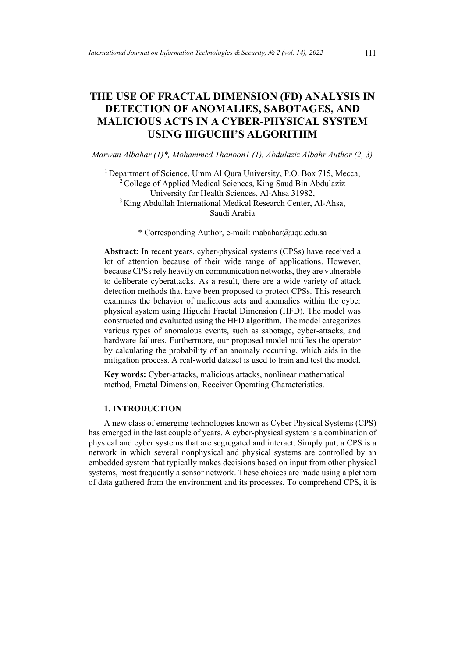# **THE USE OF FRACTAL DIMENSION (FD) ANALYSIS IN DETECTION OF ANOMALIES, SABOTAGES, AND MALICIOUS ACTS IN A CYBER-PHYSICAL SYSTEM USING HIGUCHI'S ALGORITHM**

*Marwan Albahar (1)\*, Mohammed Thanoon1 (1), Abdulaziz Albahr Author (2, 3)*

<sup>1</sup> Department of Science, Umm Al Qura University, P.O. Box 715, Mecca,  $2^2$ College of Applied Medical Sciences, King Saud Bin Abdulaziz University for Health Sciences, Al-Ahsa 31982, <sup>3</sup> King Abdullah International Medical Research Center, Al-Ahsa, Saudi Arabia

\* Corresponding Author, e-mail: mabahar@uqu.edu.sa

**Abstract:** In recent years, cyber-physical systems (CPSs) have received a lot of attention because of their wide range of applications. However, because CPSs rely heavily on communication networks, they are vulnerable to deliberate cyberattacks. As a result, there are a wide variety of attack detection methods that have been proposed to protect CPSs. This research examines the behavior of malicious acts and anomalies within the cyber physical system using Higuchi Fractal Dimension (HFD). The model was constructed and evaluated using the HFD algorithm. The model categorizes various types of anomalous events, such as sabotage, cyber-attacks, and hardware failures. Furthermore, our proposed model notifies the operator by calculating the probability of an anomaly occurring, which aids in the mitigation process. A real-world dataset is used to train and test the model.

**Key words:** Cyber-attacks, malicious attacks, nonlinear mathematical method, Fractal Dimension, Receiver Operating Characteristics.

# **1. INTRODUCTION**

A new class of emerging technologies known as Cyber Physical Systems (CPS) has emerged in the last couple of years. A cyber-physical system is a combination of physical and cyber systems that are segregated and interact. Simply put, a CPS is a network in which several nonphysical and physical systems are controlled by an embedded system that typically makes decisions based on input from other physical systems, most frequently a sensor network. These choices are made using a plethora of data gathered from the environment and its processes. To comprehend CPS, it is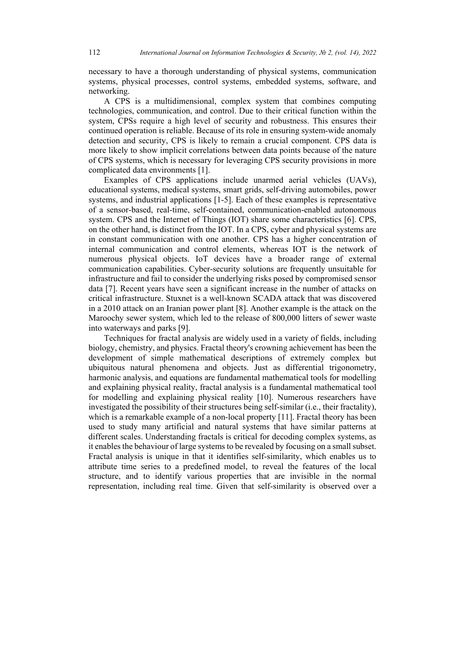necessary to have a thorough understanding of physical systems, communication systems, physical processes, control systems, embedded systems, software, and networking.

A CPS is a multidimensional, complex system that combines computing technologies, communication, and control. Due to their critical function within the system, CPSs require a high level of security and robustness. This ensures their continued operation is reliable. Because of its role in ensuring system-wide anomaly detection and security, CPS is likely to remain a crucial component. CPS data is more likely to show implicit correlations between data points because of the nature of CPS systems, which is necessary for leveraging CPS security provisions in more complicated data environments [1].

Examples of CPS applications include unarmed aerial vehicles (UAVs), educational systems, medical systems, smart grids, self-driving automobiles, power systems, and industrial applications [1-5]. Each of these examples is representative of a sensor-based, real-time, self-contained, communication-enabled autonomous system. CPS and the Internet of Things (IOT) share some characteristics [6]. CPS, on the other hand, is distinct from the IOT. In a CPS, cyber and physical systems are in constant communication with one another. CPS has a higher concentration of internal communication and control elements, whereas IOT is the network of numerous physical objects. IoT devices have a broader range of external communication capabilities. Cyber-security solutions are frequently unsuitable for infrastructure and fail to consider the underlying risks posed by compromised sensor data [7]. Recent years have seen a significant increase in the number of attacks on critical infrastructure. Stuxnet is a well-known SCADA attack that was discovered in a 2010 attack on an Iranian power plant [8]. Another example is the attack on the Maroochy sewer system, which led to the release of 800,000 litters of sewer waste into waterways and parks [9].

Techniques for fractal analysis are widely used in a variety of fields, including biology, chemistry, and physics. Fractal theory's crowning achievement has been the development of simple mathematical descriptions of extremely complex but ubiquitous natural phenomena and objects. Just as differential trigonometry, harmonic analysis, and equations are fundamental mathematical tools for modelling and explaining physical reality, fractal analysis is a fundamental mathematical tool for modelling and explaining physical reality [10]. Numerous researchers have investigated the possibility of their structures being self-similar (i.e., their fractality), which is a remarkable example of a non-local property [11]. Fractal theory has been used to study many artificial and natural systems that have similar patterns at different scales. Understanding fractals is critical for decoding complex systems, as it enables the behaviour of large systems to be revealed by focusing on a small subset. Fractal analysis is unique in that it identifies self-similarity, which enables us to attribute time series to a predefined model, to reveal the features of the local structure, and to identify various properties that are invisible in the normal representation, including real time. Given that self-similarity is observed over a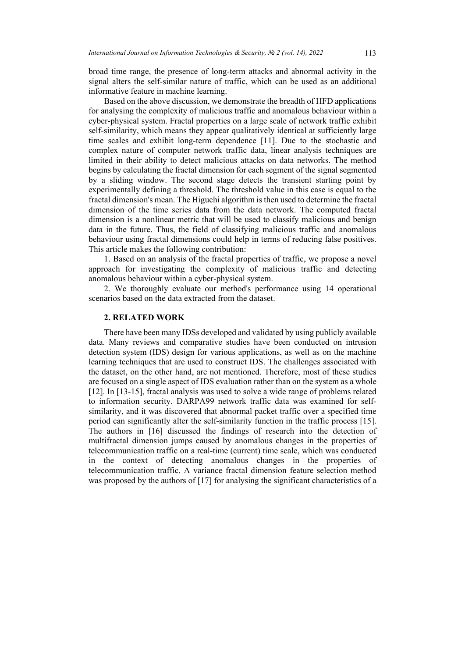broad time range, the presence of long-term attacks and abnormal activity in the signal alters the self-similar nature of traffic, which can be used as an additional informative feature in machine learning.

Based on the above discussion, we demonstrate the breadth of HFD applications for analysing the complexity of malicious traffic and anomalous behaviour within a cyber-physical system. Fractal properties on a large scale of network traffic exhibit self-similarity, which means they appear qualitatively identical at sufficiently large time scales and exhibit long-term dependence [11]. Due to the stochastic and complex nature of computer network traffic data, linear analysis techniques are limited in their ability to detect malicious attacks on data networks. The method begins by calculating the fractal dimension for each segment of the signal segmented by a sliding window. The second stage detects the transient starting point by experimentally defining a threshold. The threshold value in this case is equal to the fractal dimension's mean. The Higuchi algorithm is then used to determine the fractal dimension of the time series data from the data network. The computed fractal dimension is a nonlinear metric that will be used to classify malicious and benign data in the future. Thus, the field of classifying malicious traffic and anomalous behaviour using fractal dimensions could help in terms of reducing false positives. This article makes the following contribution:

1. Based on an analysis of the fractal properties of traffic, we propose a novel approach for investigating the complexity of malicious traffic and detecting anomalous behaviour within a cyber-physical system.

2. We thoroughly evaluate our method's performance using 14 operational scenarios based on the data extracted from the dataset.

#### **2. RELATED WORK**

There have been many IDSs developed and validated by using publicly available data. Many reviews and comparative studies have been conducted on intrusion detection system (IDS) design for various applications, as well as on the machine learning techniques that are used to construct IDS. The challenges associated with the dataset, on the other hand, are not mentioned. Therefore, most of these studies are focused on a single aspect of IDS evaluation rather than on the system as a whole [12]. In [13-15], fractal analysis was used to solve a wide range of problems related to information security. DARPA99 network traffic data was examined for selfsimilarity, and it was discovered that abnormal packet traffic over a specified time period can significantly alter the self-similarity function in the traffic process [15]. The authors in [16] discussed the findings of research into the detection of multifractal dimension jumps caused by anomalous changes in the properties of telecommunication traffic on a real-time (current) time scale, which was conducted in the context of detecting anomalous changes in the properties of telecommunication traffic. A variance fractal dimension feature selection method was proposed by the authors of [17] for analysing the significant characteristics of a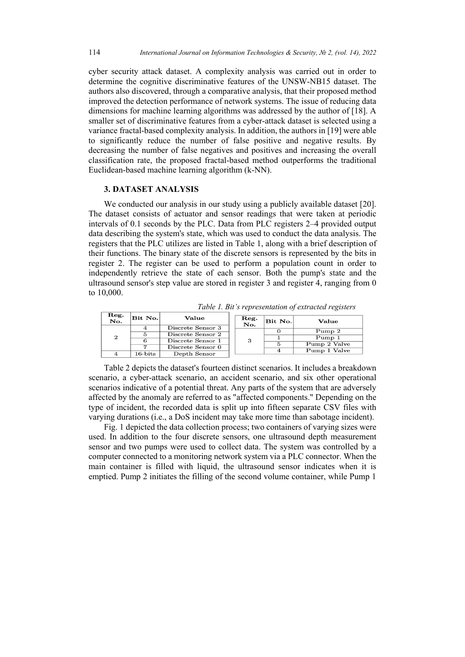cyber security attack dataset. A complexity analysis was carried out in order to determine the cognitive discriminative features of the UNSW-NB15 dataset. The authors also discovered, through a comparative analysis, that their proposed method improved the detection performance of network systems. The issue of reducing data dimensions for machine learning algorithms was addressed by the author of [18]. A smaller set of discriminative features from a cyber-attack dataset is selected using a variance fractal-based complexity analysis. In addition, the authors in [19] were able to significantly reduce the number of false positive and negative results. By decreasing the number of false negatives and positives and increasing the overall classification rate, the proposed fractal-based method outperforms the traditional Euclidean-based machine learning algorithm (k-NN).

# **3. DATASET ANALYSIS**

We conducted our analysis in our study using a publicly available dataset [20]. The dataset consists of actuator and sensor readings that were taken at periodic intervals of 0.1 seconds by the PLC. Data from PLC registers 2–4 provided output data describing the system's state, which was used to conduct the data analysis. The registers that the PLC utilizes are listed in Table 1, along with a brief description of their functions. The binary state of the discrete sensors is represented by the bits in register 2. The register can be used to perform a population count in order to independently retrieve the state of each sensor. Both the pump's state and the ultrasound sensor's step value are stored in register 3 and register 4, ranging from 0 to 10,000.

| Reg.<br>No.    | Bit No.    | Value                                  | Reg.<br>No. | Bit No. | <b>Value</b>           |
|----------------|------------|----------------------------------------|-------------|---------|------------------------|
| $\overline{2}$ |            | Discrete Sensor 3<br>Discrete Sensor 2 | 3           |         | Pump 2                 |
|                |            | Discrete Sensor 1                      |             |         | Pump 1<br>Pump 2 Valve |
|                |            | Discrete Sensor 0                      |             |         | Pump 1 Valve           |
|                | $16$ -bits | Depth Sensor                           |             |         |                        |

*Table 1. Bit's representation of extracted registers*

Table 2 depicts the dataset's fourteen distinct scenarios. It includes a breakdown scenario, a cyber-attack scenario, an accident scenario, and six other operational scenarios indicative of a potential threat. Any parts of the system that are adversely affected by the anomaly are referred to as "affected components." Depending on the type of incident, the recorded data is split up into fifteen separate CSV files with varying durations (i.e., a DoS incident may take more time than sabotage incident).

Fig. 1 depicted the data collection process; two containers of varying sizes were used. In addition to the four discrete sensors, one ultrasound depth measurement sensor and two pumps were used to collect data. The system was controlled by a computer connected to a monitoring network system via a PLC connector. When the main container is filled with liquid, the ultrasound sensor indicates when it is emptied. Pump 2 initiates the filling of the second volume container, while Pump 1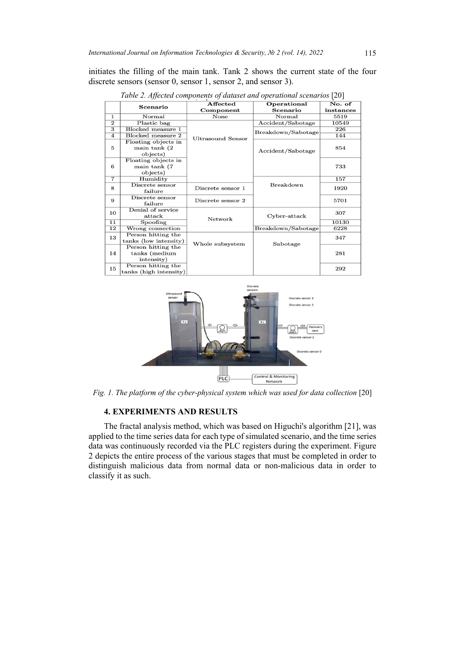initiates the filling of the main tank. Tank 2 shows the current state of the four discrete sensors (sensor 0, sensor 1, sensor 2, and sensor 3).

| No. of<br>Affected<br>Operational<br>Scenario<br>Scenario<br>Component<br>instances<br>None<br>Normal<br>5519<br>$\mathbf{1}$<br>Normal<br>$\overline{2}$<br>Accident/Sabotage<br>Plastic bag<br>10549<br>$\overline{\mathbf{3}}$<br>Blocked measure 1<br>226<br>Breakdown/Sabotage<br>Blocked measure 2<br>4<br>144<br>Ultrasound Sensor<br>Floating objects in<br>5<br>main tank (2)<br>854<br>Accident/Sabotage<br>objects)<br>Floating objects in<br>6<br>main tank (7<br>733<br>objects)<br>$\overline{7}$<br>Humidity<br>157<br>Discrete sensor<br>Breakdown<br>8<br>Discrete sensor 1<br>failure<br>Discrete sensor<br>9<br>5701<br>Discrete sensor 2<br>failure<br>Denial of service<br>10<br>307<br>attack<br>Cyber-attack |      |
|-------------------------------------------------------------------------------------------------------------------------------------------------------------------------------------------------------------------------------------------------------------------------------------------------------------------------------------------------------------------------------------------------------------------------------------------------------------------------------------------------------------------------------------------------------------------------------------------------------------------------------------------------------------------------------------------------------------------------------------|------|
|                                                                                                                                                                                                                                                                                                                                                                                                                                                                                                                                                                                                                                                                                                                                     |      |
|                                                                                                                                                                                                                                                                                                                                                                                                                                                                                                                                                                                                                                                                                                                                     |      |
|                                                                                                                                                                                                                                                                                                                                                                                                                                                                                                                                                                                                                                                                                                                                     |      |
|                                                                                                                                                                                                                                                                                                                                                                                                                                                                                                                                                                                                                                                                                                                                     |      |
|                                                                                                                                                                                                                                                                                                                                                                                                                                                                                                                                                                                                                                                                                                                                     |      |
|                                                                                                                                                                                                                                                                                                                                                                                                                                                                                                                                                                                                                                                                                                                                     |      |
|                                                                                                                                                                                                                                                                                                                                                                                                                                                                                                                                                                                                                                                                                                                                     |      |
|                                                                                                                                                                                                                                                                                                                                                                                                                                                                                                                                                                                                                                                                                                                                     |      |
|                                                                                                                                                                                                                                                                                                                                                                                                                                                                                                                                                                                                                                                                                                                                     |      |
|                                                                                                                                                                                                                                                                                                                                                                                                                                                                                                                                                                                                                                                                                                                                     |      |
|                                                                                                                                                                                                                                                                                                                                                                                                                                                                                                                                                                                                                                                                                                                                     |      |
|                                                                                                                                                                                                                                                                                                                                                                                                                                                                                                                                                                                                                                                                                                                                     |      |
|                                                                                                                                                                                                                                                                                                                                                                                                                                                                                                                                                                                                                                                                                                                                     |      |
|                                                                                                                                                                                                                                                                                                                                                                                                                                                                                                                                                                                                                                                                                                                                     | 1920 |
|                                                                                                                                                                                                                                                                                                                                                                                                                                                                                                                                                                                                                                                                                                                                     |      |
|                                                                                                                                                                                                                                                                                                                                                                                                                                                                                                                                                                                                                                                                                                                                     |      |
|                                                                                                                                                                                                                                                                                                                                                                                                                                                                                                                                                                                                                                                                                                                                     |      |
|                                                                                                                                                                                                                                                                                                                                                                                                                                                                                                                                                                                                                                                                                                                                     |      |
| Network                                                                                                                                                                                                                                                                                                                                                                                                                                                                                                                                                                                                                                                                                                                             |      |
| $\overline{11}$<br>10130<br>Spoofing                                                                                                                                                                                                                                                                                                                                                                                                                                                                                                                                                                                                                                                                                                |      |
| Breakdown/Sabotage<br>12<br>Wrong connection<br>6228                                                                                                                                                                                                                                                                                                                                                                                                                                                                                                                                                                                                                                                                                |      |
| Person hitting the<br>13<br>347                                                                                                                                                                                                                                                                                                                                                                                                                                                                                                                                                                                                                                                                                                     |      |
| tanks (low intensity)<br>Whole subsystem<br>Sabotage                                                                                                                                                                                                                                                                                                                                                                                                                                                                                                                                                                                                                                                                                |      |
| Person hitting the                                                                                                                                                                                                                                                                                                                                                                                                                                                                                                                                                                                                                                                                                                                  |      |
| 14<br>tanks (medium<br>281                                                                                                                                                                                                                                                                                                                                                                                                                                                                                                                                                                                                                                                                                                          |      |
| intensity)                                                                                                                                                                                                                                                                                                                                                                                                                                                                                                                                                                                                                                                                                                                          |      |
| Person hitting the<br>15<br>292                                                                                                                                                                                                                                                                                                                                                                                                                                                                                                                                                                                                                                                                                                     |      |
| tanks (high intensity)                                                                                                                                                                                                                                                                                                                                                                                                                                                                                                                                                                                                                                                                                                              |      |

*Table 2. Affected components of dataset and operational scenarios* [20]



*Fig. 1. The platform of the cyber-physical system which was used for data collection* [20]

## **4. EXPERIMENTS AND RESULTS**

The fractal analysis method, which was based on Higuchi's algorithm [21], was applied to the time series data for each type of simulated scenario, and the time series data was continuously recorded via the PLC registers during the experiment. Figure 2 depicts the entire process of the various stages that must be completed in order to distinguish malicious data from normal data or non-malicious data in order to classify it as such.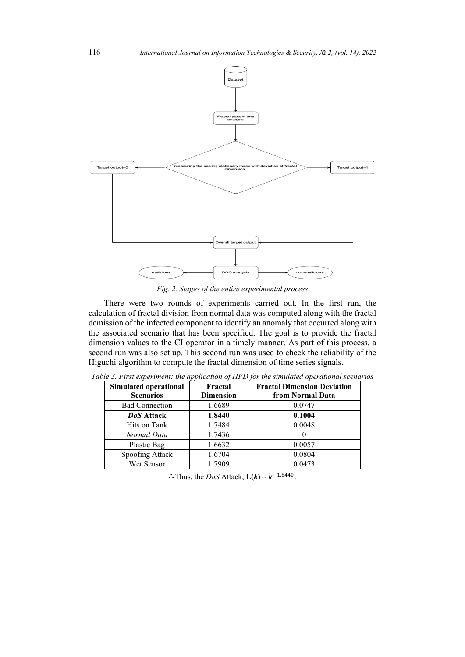

*Fig. 2. Stages of the entire experimental process*

There were two rounds of experiments carried out. In the first run, the calculation of fractal division from normal data was computed along with the fractal demission of the infected component to identify an anomaly that occurred along with the associated scenario that has been specified. The goal is to provide the fractal dimension values to the CI operator in a timely manner. As part of this process, a second run was also set up. This second run was used to check the reliability of the Higuchi algorithm to compute the fractal dimension of time series signals.

| Simulated operational<br><b>Scenarios</b> | Fractal<br><b>Dimension</b> | <b>Fractal Dimension Deviation</b><br>from Normal Data |
|-------------------------------------------|-----------------------------|--------------------------------------------------------|
| <b>Bad Connection</b>                     | 1.6689                      | 0.0747                                                 |
| <b>DoS</b> Attack                         | 1.8440                      | 0.1004                                                 |
| Hits on Tank                              | 1.7484                      | 0.0048                                                 |
| Normal Data                               | 1.7436                      |                                                        |
| Plastic Bag                               | 1.6632                      | 0.0057                                                 |
| Spoofing Attack                           | 1.6704                      | 0.0804                                                 |
| Wet Sensor                                | 1.7909                      | 0.0473                                                 |

*Table 3. First experiment: the application of HFD for the simulated operational scenarios*

∴Thus, the *DoS* Attack,  $L(k) \sim k^{-1.8440}$ .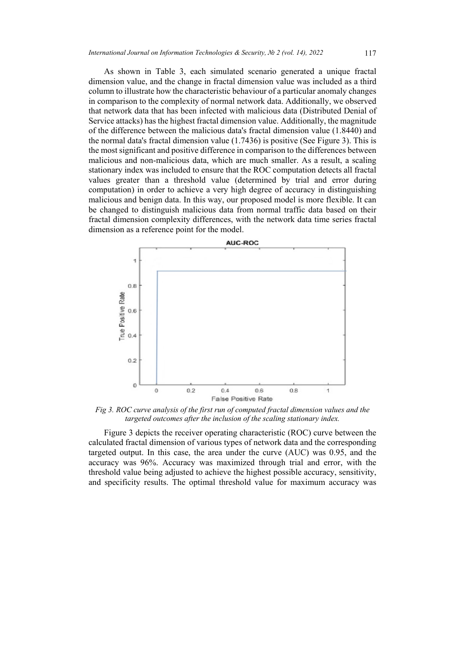As shown in Table 3, each simulated scenario generated a unique fractal dimension value, and the change in fractal dimension value was included as a third column to illustrate how the characteristic behaviour of a particular anomaly changes in comparison to the complexity of normal network data. Additionally, we observed that network data that has been infected with malicious data (Distributed Denial of Service attacks) has the highest fractal dimension value. Additionally, the magnitude of the difference between the malicious data's fractal dimension value (1.8440) and the normal data's fractal dimension value (1.7436) is positive (See Figure 3). This is the most significant and positive difference in comparison to the differences between malicious and non-malicious data, which are much smaller. As a result, a scaling stationary index was included to ensure that the ROC computation detects all fractal values greater than a threshold value (determined by trial and error during computation) in order to achieve a very high degree of accuracy in distinguishing malicious and benign data. In this way, our proposed model is more flexible. It can be changed to distinguish malicious data from normal traffic data based on their fractal dimension complexity differences, with the network data time series fractal dimension as a reference point for the model.



*Fig 3. ROC curve analysis of the first run of computed fractal dimension values and the targeted outcomes after the inclusion of the scaling stationary index.*

Figure 3 depicts the receiver operating characteristic (ROC) curve between the calculated fractal dimension of various types of network data and the corresponding targeted output. In this case, the area under the curve (AUC) was 0.95, and the accuracy was 96%. Accuracy was maximized through trial and error, with the threshold value being adjusted to achieve the highest possible accuracy, sensitivity, and specificity results. The optimal threshold value for maximum accuracy was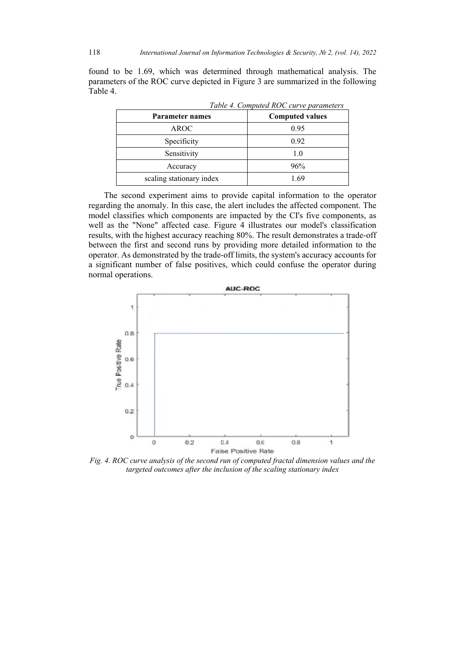found to be 1.69, which was determined through mathematical analysis. The parameters of the ROC curve depicted in Figure 3 are summarized in the following Table 4.

|                          | Table 4. Computed ROC curve parameters |  |  |
|--------------------------|----------------------------------------|--|--|
| <b>Parameter names</b>   | <b>Computed values</b>                 |  |  |
| <b>AROC</b>              | 0.95                                   |  |  |
| Specificity              | 0.92                                   |  |  |
| Sensitivity              | 1.0                                    |  |  |
| Accuracy                 | 96%                                    |  |  |
| scaling stationary index | 1 69                                   |  |  |

The second experiment aims to provide capital information to the operator regarding the anomaly. In this case, the alert includes the affected component. The model classifies which components are impacted by the CI's five components, as well as the "None" affected case. Figure 4 illustrates our model's classification results, with the highest accuracy reaching 80%. The result demonstrates a trade-off between the first and second runs by providing more detailed information to the operator. As demonstrated by the trade-off limits, the system's accuracy accounts for a significant number of false positives, which could confuse the operator during normal operations.



*Fig. 4. ROC curve analysis of the second run of computed fractal dimension values and the targeted outcomes after the inclusion of the scaling stationary index*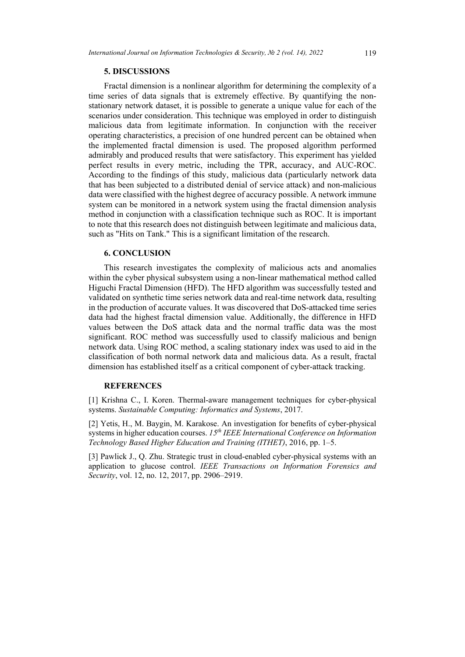## **5. DISCUSSIONS**

Fractal dimension is a nonlinear algorithm for determining the complexity of a time series of data signals that is extremely effective. By quantifying the nonstationary network dataset, it is possible to generate a unique value for each of the scenarios under consideration. This technique was employed in order to distinguish malicious data from legitimate information. In conjunction with the receiver operating characteristics, a precision of one hundred percent can be obtained when the implemented fractal dimension is used. The proposed algorithm performed admirably and produced results that were satisfactory. This experiment has yielded perfect results in every metric, including the TPR, accuracy, and AUC-ROC. According to the findings of this study, malicious data (particularly network data that has been subjected to a distributed denial of service attack) and non-malicious data were classified with the highest degree of accuracy possible. A network immune system can be monitored in a network system using the fractal dimension analysis method in conjunction with a classification technique such as ROC. It is important to note that this research does not distinguish between legitimate and malicious data, such as "Hits on Tank." This is a significant limitation of the research.

# **6. CONCLUSION**

This research investigates the complexity of malicious acts and anomalies within the cyber physical subsystem using a non-linear mathematical method called Higuchi Fractal Dimension (HFD). The HFD algorithm was successfully tested and validated on synthetic time series network data and real-time network data, resulting in the production of accurate values. It was discovered that DoS-attacked time series data had the highest fractal dimension value. Additionally, the difference in HFD values between the DoS attack data and the normal traffic data was the most significant. ROC method was successfully used to classify malicious and benign network data. Using ROC method, a scaling stationary index was used to aid in the classification of both normal network data and malicious data. As a result, fractal dimension has established itself as a critical component of cyber-attack tracking.

#### **REFERENCES**

[1] Krishna C., I. Koren. Thermal-aware management techniques for cyber-physical systems. *Sustainable Computing: Informatics and Systems*, 2017.

[2] Yetis, H., M. Baygin, M. Karakose. An investigation for benefits of cyber-physical systems in higher education courses. *15th IEEE International Conference on Information Technology Based Higher Education and Training (ITHET)*, 2016, pp. 1–5.

[3] Pawlick J., Q. Zhu. Strategic trust in cloud-enabled cyber-physical systems with an application to glucose control. *IEEE Transactions on Information Forensics and Security*, vol. 12, no. 12, 2017, pp. 2906–2919.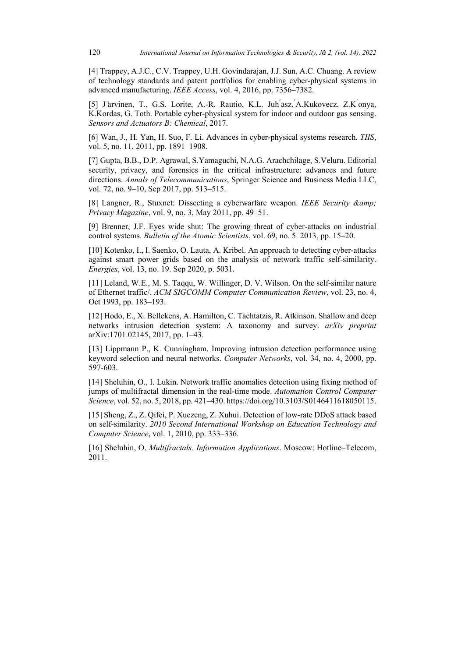[4] Trappey, A.J.C., C.V. Trappey, U.H. Govindarajan, J.J. Sun, A.C. Chuang. A review of technology standards and patent portfolios for enabling cyber-physical systems in advanced manufacturing. *IEEE Access*, vol. 4, 2016, pp. 7356–7382.

[5] J ̈arvinen, T., G.S. Lorite, A.-R. Rautio, K.L. Juh ́asz, ́A.Kukovecz, Z.K ́onya, K.Kordas, G. Toth. Portable cyber-physical system for indoor and outdoor gas sensing. *Sensors and Actuators B: Chemical*, 2017.

[6] Wan, J., H. Yan, H. Suo, F. Li. Advances in cyber-physical systems research. *TIIS*, vol. 5, no. 11, 2011, pp. 1891–1908.

[7] Gupta, B.B., D.P. Agrawal, S.Yamaguchi, N.A.G. Arachchilage, S.Veluru. Editorial security, privacy, and forensics in the critical infrastructure: advances and future directions. *Annals of Telecommunications*, Springer Science and Business Media LLC, vol. 72, no. 9–10, Sep 2017, pp. 513–515.

[8] Langner, R., Stuxnet: Dissecting a cyberwarfare weapon. *IEEE Security & Privacy Magazine*, vol. 9, no. 3, May 2011, pp. 49–51.

[9] Brenner, J.F. Eyes wide shut: The growing threat of cyber-attacks on industrial control systems. *Bulletin of the Atomic Scientists*, vol. 69, no. 5. 2013, pp. 15–20.

[10] Kotenko, I., I. Saenko, O. Lauta, A. Kribel. An approach to detecting cyber-attacks against smart power grids based on the analysis of network traffic self-similarity. *Energies*, vol. 13, no. 19. Sep 2020, p. 5031.

[11] Leland, W.E., M. S. Taqqu, W. Willinger, D. V. Wilson. On the self-similar nature of Ethernet traffic/. *ACM SIGCOMM Computer Communication Review*, vol. 23, no. 4, Oct 1993, pp. 183–193.

[12] Hodo, E., X. Bellekens, A. Hamilton, C. Tachtatzis, R. Atkinson. Shallow and deep networks intrusion detection system: A taxonomy and survey. *arXiv preprint* arXiv:1701.02145, 2017, pp. 1–43.

[13] Lippmann P., K. Cunningham. Improving intrusion detection performance using keyword selection and neural networks. *Computer Networks*, vol. 34, no. 4, 2000, pp. 597-603.

[14] Sheluhin, O., I. Lukin, Network traffic anomalies detection using fixing method of jumps of multifractal dimension in the real-time mode. *Automation Control Computer Science*, vol. 52, no. 5, 2018, pp. 421–430. https://doi.org/10.3103/S0146411618050115.

[15] Sheng, Z., Z. Qifei, P. Xuezeng, Z. Xuhui. Detection of low-rate DDoS attack based on self-similarity. *2010 Second International Workshop on Education Technology and Computer Science*, vol. 1, 2010, pp. 333–336.

[16] Sheluhin, O. *Multifractals. Information Applications*. Moscow: Hotline–Telecom, 2011.